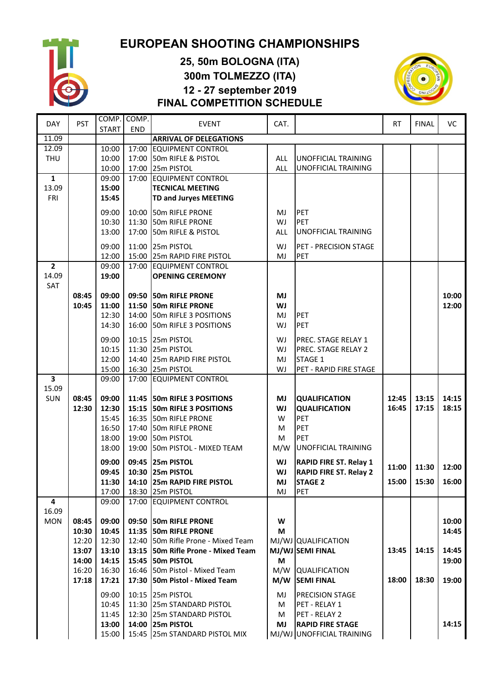

## **EUROPEAN SHOOTING CHAMPIONSHIPS**

## **25, 50m BOLOGNA (ITA) 300m TOLMEZZO (ITA) 12 - 27 september 2019 FINAL COMPETITION SCHEDULE**



|                         |            | COMP. COMP.  |            |                               |            |                               |       |              |       |
|-------------------------|------------|--------------|------------|-------------------------------|------------|-------------------------------|-------|--------------|-------|
| <b>DAY</b>              | <b>PST</b> | <b>START</b> | <b>END</b> | <b>EVENT</b>                  | CAT.       |                               | RT.   | <b>FINAL</b> | VC    |
| 11.09                   |            |              |            | <b>ARRIVAL OF DELEGATIONS</b> |            |                               |       |              |       |
| 12.09                   |            | 10:00        | 17:00      | <b>EQUIPMENT CONTROL</b>      |            |                               |       |              |       |
| <b>THU</b>              |            | 10:00        | 17:00      | 50m RIFLE & PISTOL            | <b>ALL</b> | <b>UNOFFICIAL TRAINING</b>    |       |              |       |
|                         |            | 10:00        | 17:00      | 25m PISTOL                    | <b>ALL</b> | <b>UNOFFICIAL TRAINING</b>    |       |              |       |
| $\mathbf{1}$            |            | 09:00        | 17:00      | <b>EQUIPMENT CONTROL</b>      |            |                               |       |              |       |
| 13.09                   |            | 15:00        |            | <b>TECNICAL MEETING</b>       |            |                               |       |              |       |
| FRI                     |            | 15:45        |            | TD and Juryes MEETING         |            |                               |       |              |       |
|                         |            | 09:00        |            | 10:00 50m RIFLE PRONE         | MJ         | PET                           |       |              |       |
|                         |            | 10:30        | 11:30      | 50m RIFLE PRONE               | WJ         | <b>PET</b>                    |       |              |       |
|                         |            | 13:00        | 17:00      | 50m RIFLE & PISTOL            | <b>ALL</b> | <b>UNOFFICIAL TRAINING</b>    |       |              |       |
|                         |            | 09:00        | 11:00      | 25m PISTOL                    | WJ         | PET - PRECISION STAGE         |       |              |       |
|                         |            | 12:00        | 15:00      | 25m RAPID FIRE PISTOL         | MJ         | PET                           |       |              |       |
| $\overline{2}$          |            | 09:00        | 17:00      | <b>EQUIPMENT CONTROL</b>      |            |                               |       |              |       |
| 14.09                   |            | 19:00        |            | <b>OPENING CEREMONY</b>       |            |                               |       |              |       |
| SAT                     |            |              |            |                               |            |                               |       |              |       |
|                         | 08:45      | 09:00        |            | 09:50 50m RIFLE PRONE         | MJ         |                               |       |              | 10:00 |
|                         | 10:45      | 11:00        | 11:50      | 50m RIFLE PRONE               | WJ         |                               |       |              | 12:00 |
|                         |            | 12:30        | 14:00      | 50m RIFLE 3 POSITIONS         | MJ         | <b>PET</b>                    |       |              |       |
|                         |            | 14:30        | 16:00      | 50m RIFLE 3 POSITIONS         | WJ         | <b>PET</b>                    |       |              |       |
|                         |            | 09:00        | 10:15      | 25m PISTOL                    | WJ         | PREC. STAGE RELAY 1           |       |              |       |
|                         |            | 10:15        |            | 11:30 25m PISTOL              | WJ         | PREC. STAGE RELAY 2           |       |              |       |
|                         |            | 12:00        |            | 14:40 25m RAPID FIRE PISTOL   | MJ         | STAGE 1                       |       |              |       |
|                         |            | 15:00        |            | 16:30 25m PISTOL              | WJ         | PET - RAPID FIRE STAGE        |       |              |       |
| $\overline{\mathbf{3}}$ |            | 09:00        |            | 17:00 EQUIPMENT CONTROL       |            |                               |       |              |       |
| 15.09                   |            |              |            |                               |            |                               |       |              |       |
| SUN                     | 08:45      | 09:00        |            | 11:45 50m RIFLE 3 POSITIONS   | MJ         | <b>QUALIFICATION</b>          | 12:45 | 13:15        | 14:15 |
|                         | 12:30      | 12:30        | 15:15      | 50m RIFLE 3 POSITIONS         | WJ         | <b>QUALIFICATION</b>          | 16:45 | 17:15        | 18:15 |
|                         |            | 15:45        | 16:35      | 50m RIFLE PRONE               | W          | PET                           |       |              |       |
|                         |            | 16:50        | 17:40      | 50m RIFLE PRONE               | M          | PET                           |       |              |       |
|                         |            | 18:00        | 19:00      | 50m PISTOL                    | M          | PET                           |       |              |       |
|                         |            | 18:00        | 19:00      | 50m PISTOL - MIXED TEAM       | M/W        | <b>UNOFFICIAL TRAINING</b>    |       |              |       |
|                         |            | 09:00        |            | 09:45 25m PISTOL              | WJ         | <b>RAPID FIRE ST. Relay 1</b> |       |              |       |
|                         |            | 09:45        |            | 10:30 25m PISTOL              | WJ         | <b>RAPID FIRE ST. Relay 2</b> | 11:00 | 11:30        | 12:00 |
|                         |            | 11:30        |            | 14:10 25m RAPID FIRE PISTOL   | MJ         | <b>STAGE 2</b>                | 15:00 | 15:30        | 16:00 |
|                         |            | 17:00        |            | 18:30 25m PISTOL              | MJ         | PET                           |       |              |       |
| 4                       |            | 09:00        |            | 17:00 EQUIPMENT CONTROL       |            |                               |       |              |       |
| 16.09                   |            |              |            |                               |            |                               |       |              |       |
| <b>MON</b>              | 08:45      | 09:00        |            | 09:50 50m RIFLE PRONE         | W          |                               |       |              | 10:00 |
|                         | 10:30      | 10:45        | 11:35      | 50m RIFLE PRONE               | M          |                               |       |              | 14:45 |
|                         | 12:20      | 12:30        | 12:40      | 50m Rifle Prone - Mixed Team  |            | MJ/WJ QUALIFICATION           |       |              |       |
|                         | 13:07      | 13:10        | 13:15      | 50m Rifle Prone - Mixed Team  |            | MJ/WJ SEMI FINAL              | 13:45 | 14:15        | 14:45 |
|                         | 14:00      | 14:15        |            | 15:45 50m PISTOL              | M          |                               |       |              | 19:00 |
|                         | 16:20      | 16:30        |            | 16:46 50m Pistol - Mixed Team | M/W        | <b>QUALIFICATION</b>          |       |              |       |
|                         | 17:18      | 17:21        | 17:30      | 50m Pistol - Mixed Team       | M/W        | <b>SEMI FINAL</b>             | 18:00 | 18:30        | 19:00 |
|                         |            | 09:00        |            | 10:15 25m PISTOL              | MJ         | PRECISION STAGE               |       |              |       |
|                         |            | 10:45        |            | 11:30 25m STANDARD PISTOL     | M          | PET - RELAY 1                 |       |              |       |
|                         |            | 11:45        |            | 12:30 25m STANDARD PISTOL     | M          | PET - RELAY 2                 |       |              |       |
|                         |            | 13:00        |            | 14:00 25m PISTOL              | MJ         | <b>RAPID FIRE STAGE</b>       |       |              | 14:15 |
|                         |            | 15:00        |            | 15:45 25m STANDARD PISTOL MIX |            | MJ/WJ UNOFFICIAL TRAINING     |       |              |       |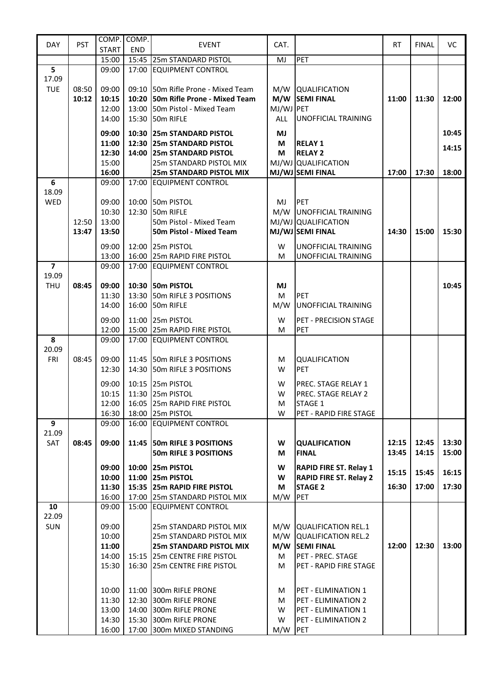| <b>DAY</b>     | <b>PST</b> |              | COMP. COMP. |                                    | CAT.       |                               |       |              | VC    |
|----------------|------------|--------------|-------------|------------------------------------|------------|-------------------------------|-------|--------------|-------|
|                |            | <b>START</b> | END         | <b>EVENT</b>                       |            |                               | RT.   | <b>FINAL</b> |       |
|                |            | 15:00        |             | 15:45 25m STANDARD PISTOL          | MJ         | PET                           |       |              |       |
| 5              |            | 09:00        |             | 17:00 EQUIPMENT CONTROL            |            |                               |       |              |       |
| 17.09          |            |              |             |                                    |            |                               |       |              |       |
| <b>TUE</b>     | 08:50      | 09:00        |             | 09:10 50m Rifle Prone - Mixed Team |            | M/W   QUALIFICATION           |       |              |       |
|                | 10:12      | 10:15        |             | 10:20 50m Rifle Prone - Mixed Team |            | M/W SEMI FINAL                | 11:00 | 11:30        | 12:00 |
|                |            | 12:00        |             | 13:00 50m Pistol - Mixed Team      | MJ/WJ PET  |                               |       |              |       |
|                |            | 14:00        |             | 15:30 50m RIFLE                    | <b>ALL</b> | <b>UNOFFICIAL TRAINING</b>    |       |              |       |
|                |            |              |             |                                    |            |                               |       |              |       |
|                |            | 09:00        |             | 10:30 25m STANDARD PISTOL          | MJ         |                               |       |              | 10:45 |
|                |            | 11:00        |             | 12:30 25m STANDARD PISTOL          | M          | <b>RELAY 1</b>                |       |              | 14:15 |
|                |            | 12:30        |             | 14:00 25m STANDARD PISTOL          | M          | <b>RELAY 2</b>                |       |              |       |
|                |            | 15:00        |             | 25m STANDARD PISTOL MIX            |            | MJ/WJ QUALIFICATION           |       |              |       |
|                |            | 16:00        |             | <b>25m STANDARD PISTOL MIX</b>     |            | MJ/WJ SEMI FINAL              | 17:00 | 17:30        | 18:00 |
| 6              |            | 09:00        |             | 17:00 EQUIPMENT CONTROL            |            |                               |       |              |       |
| 18.09          |            |              |             |                                    |            |                               |       |              |       |
| WED            |            | 09:00        |             | 10:00 50m PISTOL                   | MJ         | PET                           |       |              |       |
|                |            | 10:30        | 12:30       | 50m RIFLE                          | M/W        | <b>UNOFFICIAL TRAINING</b>    |       |              |       |
|                | 12:50      | 13:00        |             | 50m Pistol - Mixed Team            |            | MJ/WJ QUALIFICATION           |       |              |       |
|                | 13:47      | 13:50        |             | <b>50m Pistol - Mixed Team</b>     |            | MJ/WJ SEMI FINAL              | 14:30 | 15:00        | 15:30 |
|                |            | 09:00        |             | 12:00 25m PISTOL                   | W          | <b>UNOFFICIAL TRAINING</b>    |       |              |       |
|                |            | 13:00        | 16:00       | 25m RAPID FIRE PISTOL              | M          | <b>UNOFFICIAL TRAINING</b>    |       |              |       |
| $\overline{7}$ |            | 09:00        |             | 17:00 EQUIPMENT CONTROL            |            |                               |       |              |       |
| 19.09          |            |              |             |                                    |            |                               |       |              |       |
| <b>THU</b>     | 08:45      | 09:00        |             | 10:30 50m PISTOL                   | MJ         |                               |       |              | 10:45 |
|                |            | 11:30        | 13:30       | 50m RIFLE 3 POSITIONS              | M          | <b>PET</b>                    |       |              |       |
|                |            | 14:00        |             | 16:00 50m RIFLE                    | M/W        | UNOFFICIAL TRAINING           |       |              |       |
|                |            |              |             |                                    |            |                               |       |              |       |
|                |            | 09:00        | 11:00       | 25m PISTOL                         | W          | PET - PRECISION STAGE         |       |              |       |
|                |            | 12:00        |             | 15:00 25m RAPID FIRE PISTOL        | M          | PET                           |       |              |       |
| 8              |            | 09:00        |             | 17:00 EQUIPMENT CONTROL            |            |                               |       |              |       |
| 20.09          |            |              |             |                                    |            |                               |       |              |       |
| <b>FRI</b>     | 08:45      | 09:00        |             | 11:45 50m RIFLE 3 POSITIONS        | M          | <b>QUALIFICATION</b>          |       |              |       |
|                |            | 12:30        |             | 14:30 50m RIFLE 3 POSITIONS        | W          | PET                           |       |              |       |
|                |            | 09:00        |             | 10:15 25m PISTOL                   | W          | PREC. STAGE RELAY 1           |       |              |       |
|                |            | 10:15        |             | 11:30 25m PISTOL                   | W          | PREC. STAGE RELAY 2           |       |              |       |
|                |            | 12:00        |             | 16:05 25m RAPID FIRE PISTOL        | M          | STAGE 1                       |       |              |       |
|                |            | 16:30        |             | 18:00 25m PISTOL                   | W          | PET - RAPID FIRE STAGE        |       |              |       |
| 9              |            | 09:00        |             | 16:00 EQUIPMENT CONTROL            |            |                               |       |              |       |
| 21.09          |            |              |             |                                    |            |                               |       |              |       |
| SAT            | 08:45      | 09:00        |             | 11:45 50m RIFLE 3 POSITIONS        | W          | <b>QUALIFICATION</b>          | 12:15 | 12:45        | 13:30 |
|                |            |              |             | <b>50m RIFLE 3 POSITIONS</b>       | M          | <b>FINAL</b>                  | 13:45 | 14:15        | 15:00 |
|                |            |              |             |                                    |            |                               |       |              |       |
|                |            | 09:00        |             | 10:00 25m PISTOL                   | W          | <b>RAPID FIRE ST. Relay 1</b> | 15:15 | 15:45        | 16:15 |
|                |            | 10:00        |             | 11:00 25m PISTOL                   | W          | <b>RAPID FIRE ST. Relay 2</b> |       |              |       |
|                |            | 11:30        |             | 15:35 25m RAPID FIRE PISTOL        | M          | <b>STAGE 2</b>                | 16:30 | 17:00        | 17:30 |
|                |            | 16:00        |             | 17:00 25m STANDARD PISTOL MIX      | M/W        | PET                           |       |              |       |
| 10             |            | 09:00        |             | 15:00 EQUIPMENT CONTROL            |            |                               |       |              |       |
| 22.09          |            |              |             |                                    |            |                               |       |              |       |
| <b>SUN</b>     |            | 09:00        |             | 25m STANDARD PISTOL MIX            |            | M/W QUALIFICATION REL.1       |       |              |       |
|                |            | 10:00        |             | 25m STANDARD PISTOL MIX            | M/W        | QUALIFICATION REL.2           |       |              |       |
|                |            | 11:00        |             | <b>25m STANDARD PISTOL MIX</b>     | M/W        | <b>SEMI FINAL</b>             | 12:00 | 12:30        | 13:00 |
|                |            | 14:00        |             | 15:15 25m CENTRE FIRE PISTOL       | М          | PET - PREC. STAGE             |       |              |       |
|                |            | 15:30        | 16:30       | 25m CENTRE FIRE PISTOL             | M          | PET - RAPID FIRE STAGE        |       |              |       |
|                |            |              |             |                                    |            |                               |       |              |       |
|                |            | 10:00        |             | 11:00 300m RIFLE PRONE             | M          | PET - ELIMINATION 1           |       |              |       |
|                |            | 11:30        | 12:30       | 300m RIFLE PRONE                   | M          | PET - ELIMINATION 2           |       |              |       |
|                |            | 13:00        |             | 14:00 300m RIFLE PRONE             | W          | PET - ELIMINATION 1           |       |              |       |
|                |            | 14:30        |             | 15:30 300m RIFLE PRONE             | W          | PET - ELIMINATION 2           |       |              |       |
|                |            | 16:00        |             | 17:00 300m MIXED STANDING          | M/W        | PET                           |       |              |       |
|                |            |              |             |                                    |            |                               |       |              |       |